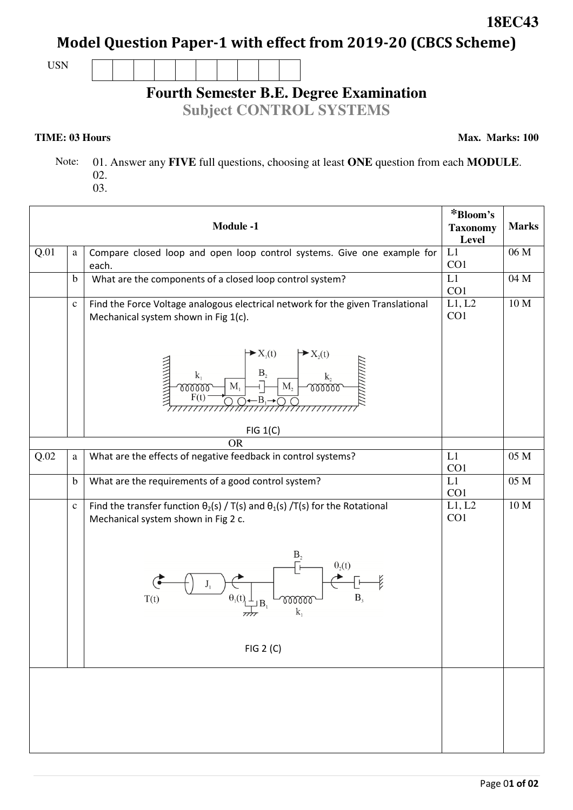Page 0**1 of 02** 

# **Model Question Paper-1 with effect from 2019-20 (CBCS Scheme)**

USN



## **Fourth Semester B.E. Degree Examination**

**Subject CONTROL SYSTEMS**

#### **TIME: 03 Hours**

**Max. Marks: 100**

**18EC43** 

 Note: 01. Answer any **FIVE** full questions, choosing at least **ONE** question from each **MODULE**. 02.

03.

|      |              | <b>Module -1</b>                                                                                                                                                                       | *Bloom's<br><b>Taxonomy</b><br>Level | <b>Marks</b>     |
|------|--------------|----------------------------------------------------------------------------------------------------------------------------------------------------------------------------------------|--------------------------------------|------------------|
| Q.01 | a            | Compare closed loop and open loop control systems. Give one example for<br>each.                                                                                                       | L1<br>CO1                            | 06 M             |
|      | $\mathbf b$  | What are the components of a closed loop control system?                                                                                                                               | L1<br>CO1                            | 04 M             |
|      | $\mathbf{C}$ | Find the Force Voltage analogous electrical network for the given Translational<br>Mechanical system shown in Fig 1(c).                                                                | L1, L2<br>CO1                        | 10 M             |
|      |              | $\blacktriangleright X_1(t)$<br>$\rightarrow X_2(t)$<br>ANNIN NIN<br>$B_2$<br>$\mathbf{k}_2$<br>$k_1$<br>$\mathbf{M}_{2}$<br>M <sub>1</sub><br>www<br>mm<br>F(t)<br>$-B_1$<br>FIG 1(C) |                                      |                  |
|      |              | <b>OR</b>                                                                                                                                                                              |                                      |                  |
| Q.02 | a            | What are the effects of negative feedback in control systems?                                                                                                                          | L1<br>CO1                            | $05\ \mathrm{M}$ |
|      | $\mathbf b$  | What are the requirements of a good control system?                                                                                                                                    | L1<br>CO1                            | 05 M             |
|      | $\mathbf c$  | Find the transfer function $\theta_2(s)$ / T(s) and $\theta_1(s)$ /T(s) for the Rotational<br>Mechanical system shown in Fig 2 c.                                                      | L1, L2<br>CO1                        | 10 M             |
|      |              | B <sub>2</sub><br>$\theta_2(t)$<br>$B_3$<br>$\theta_1(t)$<br>T(t)<br>mm<br>$k_{1}$                                                                                                     |                                      |                  |
|      |              | FIG 2 (C)                                                                                                                                                                              |                                      |                  |
|      |              |                                                                                                                                                                                        |                                      |                  |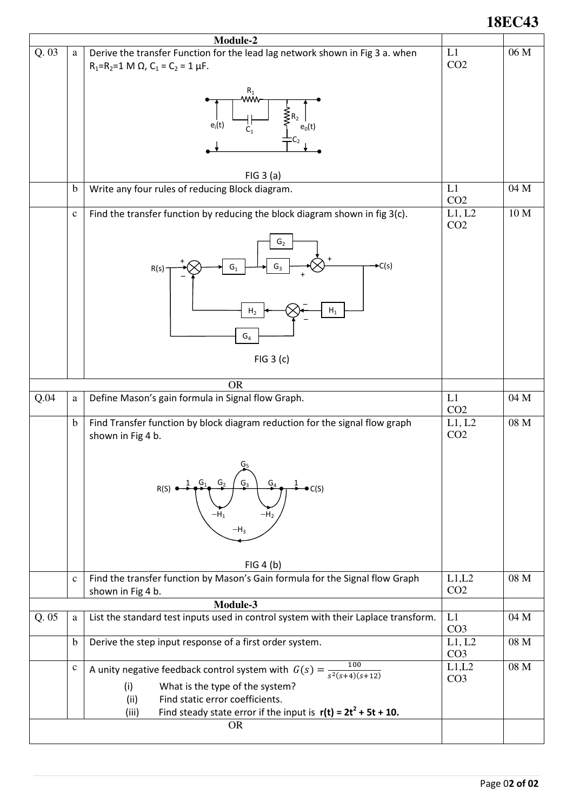### **18EC43**

| Module-2 |              |                                                                                    |                                  |      |  |  |
|----------|--------------|------------------------------------------------------------------------------------|----------------------------------|------|--|--|
| Q.03     | a            | Derive the transfer Function for the lead lag network shown in Fig 3 a. when       | L1                               | 06 M |  |  |
|          |              | $R_1=R_2=1$ M $\Omega$ , $C_1 = C_2 = 1$ $\mu$ F.                                  | CO <sub>2</sub>                  |      |  |  |
|          |              |                                                                                    |                                  |      |  |  |
|          |              | $R_1$<br>WŴ                                                                        |                                  |      |  |  |
|          |              |                                                                                    |                                  |      |  |  |
|          |              | $e_i(t)$<br>$C_1$<br>$\mathsf{e}_0$ (t)                                            |                                  |      |  |  |
|          |              |                                                                                    |                                  |      |  |  |
|          |              |                                                                                    |                                  |      |  |  |
|          |              |                                                                                    |                                  |      |  |  |
|          |              | FIG 3(a)                                                                           |                                  |      |  |  |
|          | $\mathbf b$  | Write any four rules of reducing Block diagram.                                    | L1<br>CO <sub>2</sub>            | 04 M |  |  |
|          | $\mathbf c$  | Find the transfer function by reducing the block diagram shown in fig 3(c).        | $\overline{L}$ 1, L <sub>2</sub> | 10 M |  |  |
|          |              |                                                                                    | CO <sub>2</sub>                  |      |  |  |
|          |              | G <sub>2</sub>                                                                     |                                  |      |  |  |
|          |              |                                                                                    |                                  |      |  |  |
|          |              | $\blacktriangleright$ C(s)<br>$G_3$<br>$G_1$<br>R(s)                               |                                  |      |  |  |
|          |              |                                                                                    |                                  |      |  |  |
|          |              |                                                                                    |                                  |      |  |  |
|          |              | ${\sf H}_1$<br>H <sub>2</sub>                                                      |                                  |      |  |  |
|          |              |                                                                                    |                                  |      |  |  |
|          |              | $\mathsf{G}_4$                                                                     |                                  |      |  |  |
|          |              |                                                                                    |                                  |      |  |  |
|          |              | FIG 3 (c)                                                                          |                                  |      |  |  |
|          |              |                                                                                    |                                  |      |  |  |
| Q.04     |              | <b>OR</b><br>Define Mason's gain formula in Signal flow Graph.                     | L1                               | 04 M |  |  |
|          | $\rm{a}$     |                                                                                    | CO <sub>2</sub>                  |      |  |  |
|          | $\mathbf b$  | Find Transfer function by block diagram reduction for the signal flow graph        | L1, L2                           | 08 M |  |  |
|          |              | shown in Fig 4 b.                                                                  | CO <sub>2</sub>                  |      |  |  |
|          |              |                                                                                    |                                  |      |  |  |
|          |              |                                                                                    |                                  |      |  |  |
|          |              | G,                                                                                 |                                  |      |  |  |
|          |              | C(S)                                                                               |                                  |      |  |  |
|          |              |                                                                                    |                                  |      |  |  |
|          |              |                                                                                    |                                  |      |  |  |
|          |              | $-H_3$                                                                             |                                  |      |  |  |
|          |              |                                                                                    |                                  |      |  |  |
|          |              | FIG 4(b)                                                                           |                                  |      |  |  |
|          | $\mathbf c$  | Find the transfer function by Mason's Gain formula for the Signal flow Graph       | L1,L2                            | 08 M |  |  |
|          |              | shown in Fig 4 b.                                                                  | CO <sub>2</sub>                  |      |  |  |
|          |              | Module-3                                                                           |                                  |      |  |  |
| Q. 05    | $\rm{a}$     | List the standard test inputs used in control system with their Laplace transform. | L1                               | 04 M |  |  |
|          |              |                                                                                    | CO <sub>3</sub>                  |      |  |  |
|          | $\mathbf b$  | Derive the step input response of a first order system.                            | L1, L2                           | 08 M |  |  |
|          |              |                                                                                    | CO <sub>3</sub>                  |      |  |  |
|          | $\mathbf{C}$ | A unity negative feedback control system with $G(s) = \frac{100}{s^2(s+4)(s+12)}$  | L1,L2<br>CO <sub>3</sub>         | 08 M |  |  |
|          |              | What is the type of the system?<br>(i)                                             |                                  |      |  |  |
|          |              | Find static error coefficients.<br>(ii)                                            |                                  |      |  |  |
|          |              | Find steady state error if the input is $r(t) = 2t^2 + 5t + 10$ .<br>(iii)         |                                  |      |  |  |
|          |              | <b>OR</b>                                                                          |                                  |      |  |  |
|          |              |                                                                                    |                                  |      |  |  |